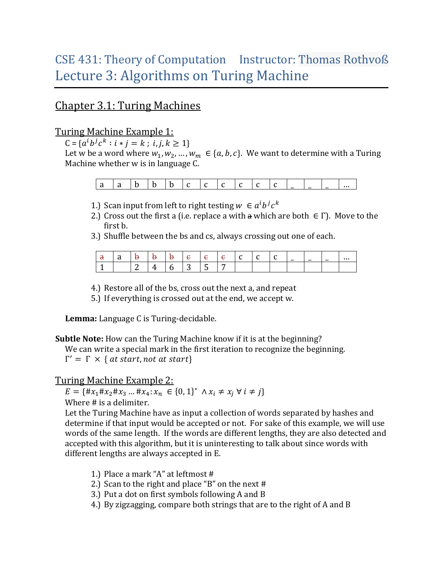# CSE 431: Theory of Computation Instructor: Thomas Rothvoß Lecture 3: Algorithms on Turing Machine

## Chapter 3.1: Turing Machines

### Turing Machine Example 1:

 $C = \{a^ib^jc^k :$ 

Let w be a word where  $w_1, w_2, ..., w_m \in \{a, b, c\}$ . We want to determine with a Turing Machine whether w is in language C.

|--|--|--|--|--|--|--|--|--|--|--|--|--|--|--|--|

- 1.) Scan input from left to right testing  $w \in a^i b^j c^k$
- 2.) Cross out the first a (i.e. replace a with a which are both  $\in \Gamma$ ). Move to the first b.
- 3.) Shuffle between the bs and cs, always crossing out one of each.

|  |            |   |   |   |  |  | $\overline{\phantom{0}}$ | $\overline{\phantom{0}}$ |  |
|--|------------|---|---|---|--|--|--------------------------|--------------------------|--|
|  | $\sqrt{2}$ | - | ັ | ີ |  |  |                          |                          |  |

4.) Restore all of the bs, cross out the next a, and repeat

5.) If everything is crossed out at the end, we accept w.

**Lemma:** Language C is Turing-decidable.

**Subtle Note:** How can the Turing Machine know if it is at the beginning?

We can write a special mark in the first iteration to recognize the beginning.  $\Gamma'$ 

#### Turing Machine Example 2:

 $E = \{ \#x_1 \#x_2 \#x_3 \dots \#x_4 \colon x_n \in \{0, 1\}^*$ Where # is a delimiter.

Let the Turing Machine have as input a collection of words separated by hashes and determine if that input would be accepted or not. For sake of this example, we will use words of the same length. If the words are different lengths, they are also detected and accepted with this algorithm, but it is uninteresting to talk about since words with different lengths are always accepted in E.

- 1.) Place a mark "A" at leftmost #
- 2.) Scan to the right and place "B" on the next #
- 3.) Put a dot on first symbols following A and B
- 4.) By zigzagging, compare both strings that are to the right of A and B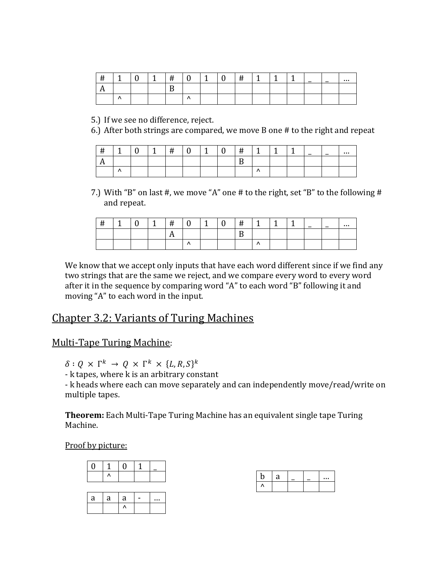| ,, |    |  |  |  |  |  | $\overline{\phantom{0}}$ |  |
|----|----|--|--|--|--|--|--------------------------|--|
|    |    |  |  |  |  |  |                          |  |
|    | ,, |  |  |  |  |  |                          |  |

5.) If we see no difference, reject.

6.) After both strings are compared, we move B one # to the right and repeat

| $\cdot$<br>ᄁ<br>,, | . .      |  |  |  | ≖ |  | ۔ | $\overline{\phantom{0}}$ | $\overline{\phantom{0}}$ |  |
|--------------------|----------|--|--|--|---|--|---|--------------------------|--------------------------|--|
|                    |          |  |  |  |   |  |   |                          |                          |  |
|                    | $\cdots$ |  |  |  |   |  |   |                          |                          |  |

7.) With "B" on last #, we move "A" one # to the right, set "B" to the following # and repeat.

| Ħ |  | #   |  |  |     | ٠ | $\overline{\phantom{0}}$ | $\overline{\phantom{0}}$ |  |
|---|--|-----|--|--|-----|---|--------------------------|--------------------------|--|
|   |  | . . |  |  |     |   |                          |                          |  |
|   |  |     |  |  | . . |   |                          |                          |  |

We know that we accept only inputs that have each word different since if we find any two strings that are the same we reject, and we compare every word to every word after it in the sequence by comparing word "A" to each word "B" following it and moving "A" to each word in the input.

## Chapter 3.2: Variants of Turing Machines

#### Multi-Tape Turing Machine:

 $\delta: Q \times \Gamma^k \to Q \times \Gamma^k \times \{L, R, S\}^k$ 

- k tapes, where k is an arbitrary constant

- k heads where each can move separately and can independently move/read/write on multiple tapes.

**Theorem:** Each Multi-Tape Turing Machine has an equivalent single tape Turing Machine.

Proof by picture:



| ⊿ |  |  |
|---|--|--|
|   |  |  |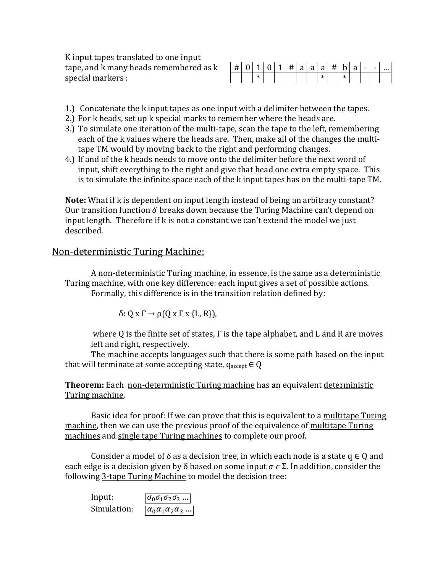K input tapes translated to one input tape, and k many heads remembered as k special markers :

| $\pm 1$ |  | $1 \mid 0 \mid$ |  |  |      | $ 1 \times  4 $ a   a   a   #   b   a |  | $\blacksquare$ |  |
|---------|--|-----------------|--|--|------|---------------------------------------|--|----------------|--|
|         |  |                 |  |  | والم |                                       |  |                |  |

- 1.) Concatenate the k input tapes as one input with a delimiter between the tapes.
- 2.) For k heads, set up k special marks to remember where the heads are.
- 3.) To simulate one iteration of the multi-tape, scan the tape to the left, remembering each of the k values where the heads are. Then, make all of the changes the multitape TM would by moving back to the right and performing changes.
- 4.) If and of the k heads needs to move onto the delimiter before the next word of input, shift everything to the right and give that head one extra empty space. This is to simulate the infinite space each of the k input tapes has on the multi-tape TM.

**Note:** What if k is dependent on input length instead of being an arbitrary constant? Our transition function  $\delta$  breaks down because the Turing Machine can't depend on input length. Therefore if k is not a constant we can't extend the model we just described.

#### Non-deterministic Turing Machine:

A non-deterministic Turing machine, in essence, is the same as a deterministic Turing machine, with one key difference: each input gives a set of possible actions. Formally, this difference is in the transition relation defined by:

$$
\delta: Q \times \Gamma \to \rho(Q \times \Gamma \times \{L, R\}),
$$

where Q is the finite set of states, Γ is the tape alphabet, and L and R are moves left and right, respectively.

The machine accepts languages such that there is some path based on the input that will terminate at some accepting state,  $q_{\text{accept}} \in Q$ 

**Theorem:** Each non-deterministic Turing machine has an equivalent deterministic Turing machine.

Basic idea for proof: If we can prove that this is equivalent to a multitape Turing machine, then we can use the previous proof of the equivalence of multitape Turing machines and single tape Turing machines to complete our proof.

Consider a model of  $\delta$  as a decision tree, in which each node is a state q  $\in Q$  and each edge is a decision given by  $\delta$  based on some input  $\sigma \in \Sigma$ . In addition, consider the following 3-tape Turing Machine to model the decision tree:

Input:  $\boxed{\sigma_0 \sigma_1 \sigma_2 \sigma_3 \dots}$ Simulation:  $\boxed{\alpha_0 \alpha_1 \alpha_2 \alpha_3 \dots}$